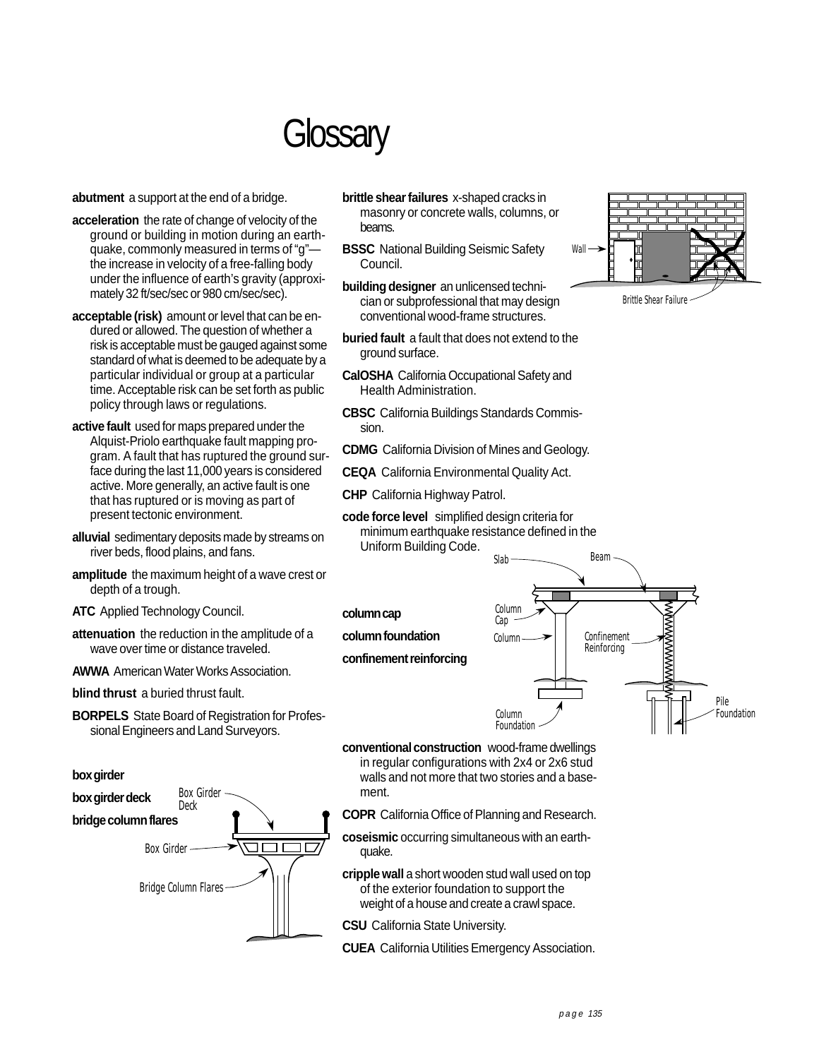## **Glossary**

**abutment** a support at the end of a bridge.

- **acceleration** the rate of change of velocity of the ground or building in motion during an earthquake, commonly measured in terms of "g" the increase in velocity of a free-falling body under the influence of earth's gravity (approximately 32 ft/sec/sec or 980 cm/sec/sec).
- **acceptable (risk)** amount or level that can be endured or allowed. The question of whether a risk is acceptable must be gauged against some standard of what is deemed to be adequate by a particular individual or group at a particular time. Acceptable risk can be set forth as public policy through laws or regulations.
- **active fault** used for maps prepared under the Alquist-Priolo earthquake fault mapping program. A fault that has ruptured the ground surface during the last 11,000 years is considered active. More generally, an active fault is one that has ruptured or is moving as part of present tectonic environment.
- **alluvial** sedimentary deposits made by streams on river beds, flood plains, and fans.
- **amplitude** the maximum height of a wave crest or depth of a trough.
- **ATC** Applied Technology Council.
- **attenuation** the reduction in the amplitude of a wave over time or distance traveled.
- **AWWA** American Water Works Association.
- **blind thrust** a buried thrust fault.
- **BORPELS** State Board of Registration for Professional Engineers and Land Surveyors.





- **brittle shear failures** x-shaped cracks in masonry or concrete walls, columns, or beams.
- **BSSC** National Building Seismic Safety Wall Council.
- **building designer** an unlicensed technician or subprofessional that may design Brittle Shear Failure conventional wood-frame structures.
- **buried fault** a fault that does not extend to the ground surface.
- **CalOSHA** California Occupational Safety and Health Administration.
- **CBSC** California Buildings Standards Commission.
- **CDMG** California Division of Mines and Geology.
- **CEQA** California Environmental Quality Act.
- **CHP** California Highway Patrol.
- **code force level** simplified design criteria for minimum earthquake resistance defined in the Uniform Building Code.<br>Slab Slab Beam



- **conventional construction** wood-frame dwellings in regular configurations with 2x4 or 2x6 stud walls and not more that two stories and a basement.
- **COPR** California Office of Planning and Research.
- **coseismic** occurring simultaneous with an earthquake.
- **cripple wall** a short wooden stud wall used on top of the exterior foundation to support the weight of a house and create a crawl space.
- **CSU** California State University.
- **CUEA** California Utilities Emergency Association.

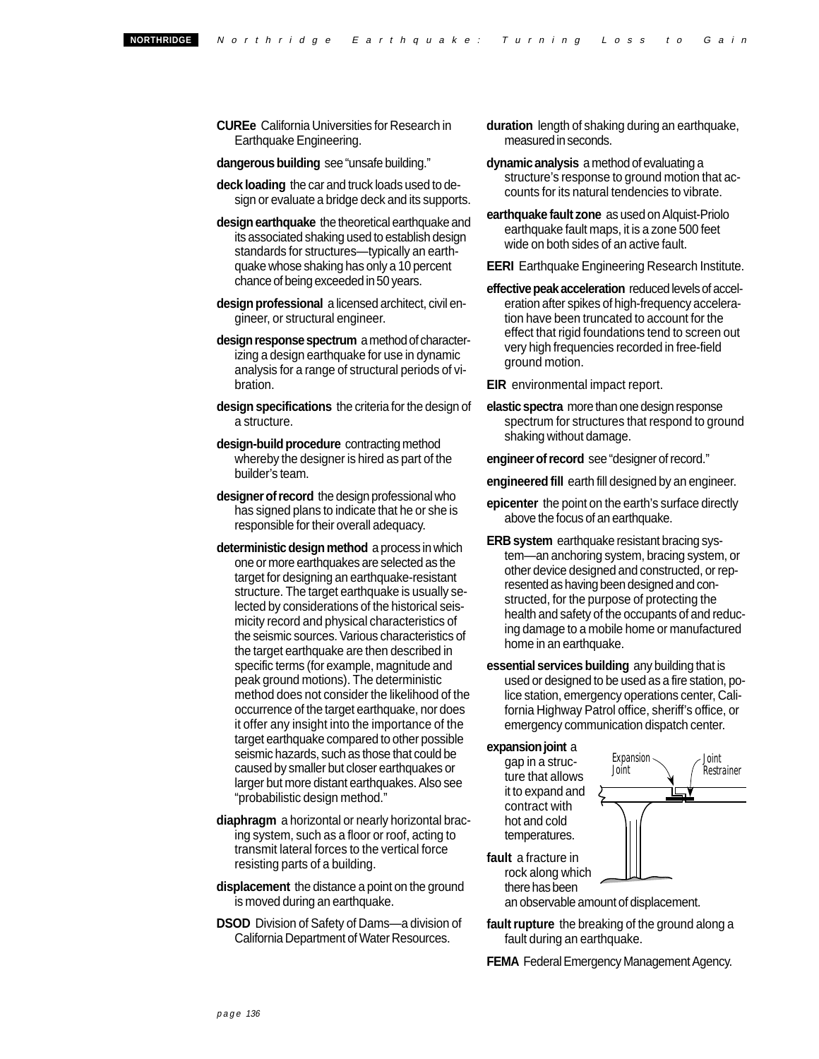**CUREe** California Universities for Research in Earthquake Engineering.

**dangerous building** see "unsafe building."

- **deck loading** the car and truck loads used to design or evaluate a bridge deck and its supports.
- **design earthquake** the theoretical earthquake and its associated shaking used to establish design standards for structures—typically an earthquake whose shaking has only a 10 percent chance of being exceeded in 50 years.
- **design professional** a licensed architect, civil engineer, or structural engineer.
- **design response spectrum** a method of characterizing a design earthquake for use in dynamic analysis for a range of structural periods of vibration.
- **design specifications** the criteria for the design of a structure.
- **design-build procedure** contracting method whereby the designer is hired as part of the builder's team.
- **designer of record** the design professional who has signed plans to indicate that he or she is responsible for their overall adequacy.
- **deterministic design method** a process in which one or more earthquakes are selected as the target for designing an earthquake-resistant structure. The target earthquake is usually selected by considerations of the historical seismicity record and physical characteristics of the seismic sources. Various characteristics of the target earthquake are then described in specific terms (for example, magnitude and peak ground motions). The deterministic method does not consider the likelihood of the occurrence of the target earthquake, nor does it offer any insight into the importance of the target earthquake compared to other possible seismic hazards, such as those that could be caused by smaller but closer earthquakes or larger but more distant earthquakes. Also see "probabilistic design method."
- **diaphragm** a horizontal or nearly horizontal bracing system, such as a floor or roof, acting to transmit lateral forces to the vertical force resisting parts of a building.
- **displacement** the distance a point on the ground is moved during an earthquake.
- **DSOD** Division of Safety of Dams—a division of California Department of Water Resources.
- **duration** length of shaking during an earthquake, measured in seconds.
- **dynamic analysis** a method of evaluating a structure's response to ground motion that accounts for its natural tendencies to vibrate.
- **earthquake fault zone** as used on Alquist-Priolo earthquake fault maps, it is a zone 500 feet wide on both sides of an active fault.
- **EERI** Earthquake Engineering Research Institute.
- **effective peak acceleration** reduced levels of acceleration after spikes of high-frequency acceleration have been truncated to account for the effect that rigid foundations tend to screen out very high frequencies recorded in free-field ground motion.

**EIR** environmental impact report.

**elastic spectra** more than one design response spectrum for structures that respond to ground shaking without damage.

**engineer of record** see "designer of record."

**engineered fill** earth fill designed by an engineer.

- **epicenter** the point on the earth's surface directly above the focus of an earthquake.
- **ERB system** earthquake resistant bracing system—an anchoring system, bracing system, or other device designed and constructed, or represented as having been designed and constructed, for the purpose of protecting the health and safety of the occupants of and reducing damage to a mobile home or manufactured home in an earthquake.
- **essential services building** any building that is used or designed to be used as a fire station, police station, emergency operations center, California Highway Patrol office, sheriff's office, or emergency communication dispatch center.

**expansion joint** a

it to expand and contract with hot and cold temperatures.



rock along which there has been an observable amount of displacement.

**fault rupture** the breaking of the ground along a fault during an earthquake.

**FEMA** Federal Emergency Management Agency.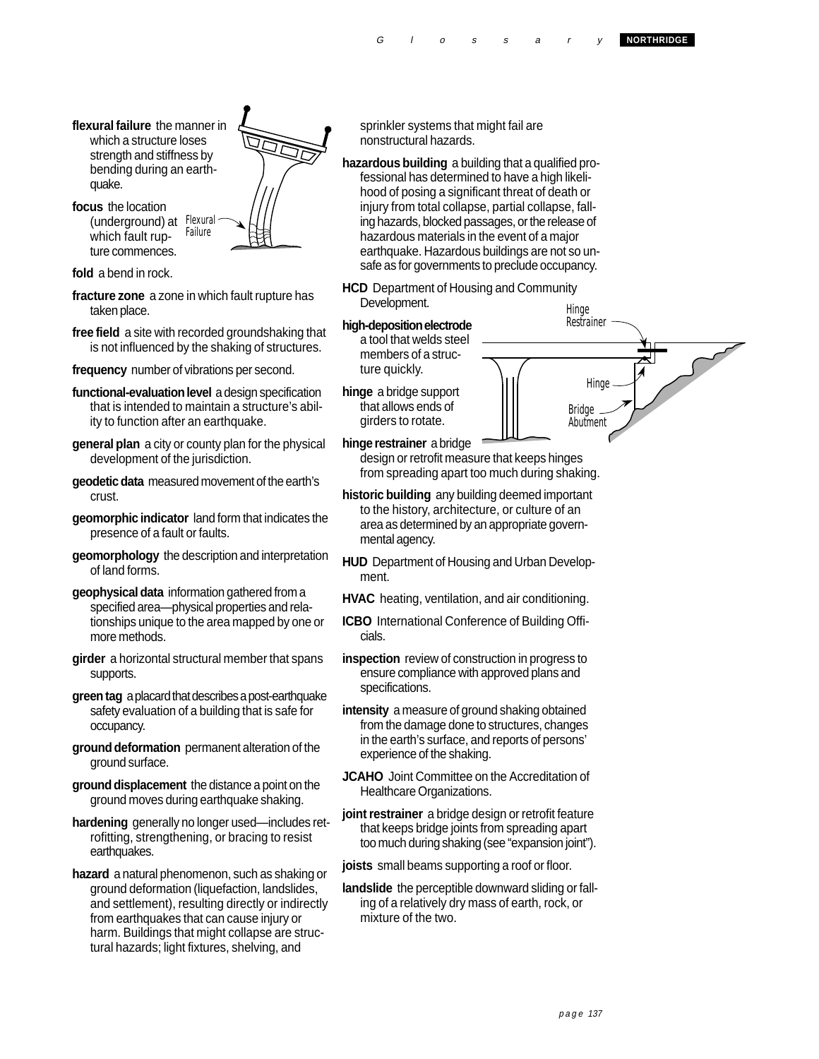G l o s s a r y **NORTHRIDGE** 

- **flexural failure** the manner in which a structure loses strength and stiffness by bending during an earthquake.
- **focus** the location (underground) at Flexural<br>which fault run- Failure which fault rupture commences.



**fold** a bend in rock.

- **fracture zone** a zone in which fault rupture has taken place.
- **free field** a site with recorded groundshaking that is not influenced by the shaking of structures.
- **frequency** number of vibrations per second.
- **functional-evaluation level** a design specification that is intended to maintain a structure's ability to function after an earthquake.
- **general plan** a city or county plan for the physical development of the jurisdiction.
- **geodetic data** measured movement of the earth's crust.
- **geomorphic indicator** land form that indicates the presence of a fault or faults.
- **geomorphology** the description and interpretation of land forms.
- **geophysical data** information gathered from a specified area—physical properties and relationships unique to the area mapped by one or more methods.
- **girder** a horizontal structural member that spans supports.
- **green tag** a placard that describes a post-earthquake safety evaluation of a building that is safe for occupancy.
- **ground deformation** permanent alteration of the ground surface.
- **ground displacement** the distance a point on the ground moves during earthquake shaking.
- **hardening** generally no longer used—includes retrofitting, strengthening, or bracing to resist earthquakes.
- **hazard** a natural phenomenon, such as shaking or ground deformation (liquefaction, landslides, and settlement), resulting directly or indirectly from earthquakes that can cause injury or harm. Buildings that might collapse are structural hazards; light fixtures, shelving, and

sprinkler systems that might fail are nonstructural hazards.

**hazardous building** a building that a qualified professional has determined to have a high likelihood of posing a significant threat of death or injury from total collapse, partial collapse, falling hazards, blocked passages, or the release of hazardous materials in the event of a major earthquake. Hazardous buildings are not so unsafe as for governments to preclude occupancy.

- **HCD** Department of Housing and Community Development. Hinge
- **high-deposition electrode** a tool that welds steel members of a structure quickly.
- **hinge** a bridge support  $\left|\frac{1}{10}\right|$  Hinge that allows ends of Bridge girders to rotate. Abutment
- **hinge restrainer** a bridge design or retrofit measure that keeps hinges from spreading apart too much during shaking.
- **historic building** any building deemed important to the history, architecture, or culture of an area as determined by an appropriate governmental agency.
- **HUD** Department of Housing and Urban Development.
- **HVAC** heating, ventilation, and air conditioning.
- **ICBO** International Conference of Building Officials.
- **inspection** review of construction in progress to ensure compliance with approved plans and specifications.
- **intensity** a measure of ground shaking obtained from the damage done to structures, changes in the earth's surface, and reports of persons' experience of the shaking.
- **JCAHO** Joint Committee on the Accreditation of Healthcare Organizations.
- **joint restrainer** a bridge design or retrofit feature that keeps bridge joints from spreading apart too much during shaking (see "expansion joint").
- **joists** small beams supporting a roof or floor.
- **landslide** the perceptible downward sliding or falling of a relatively dry mass of earth, rock, or mixture of the two.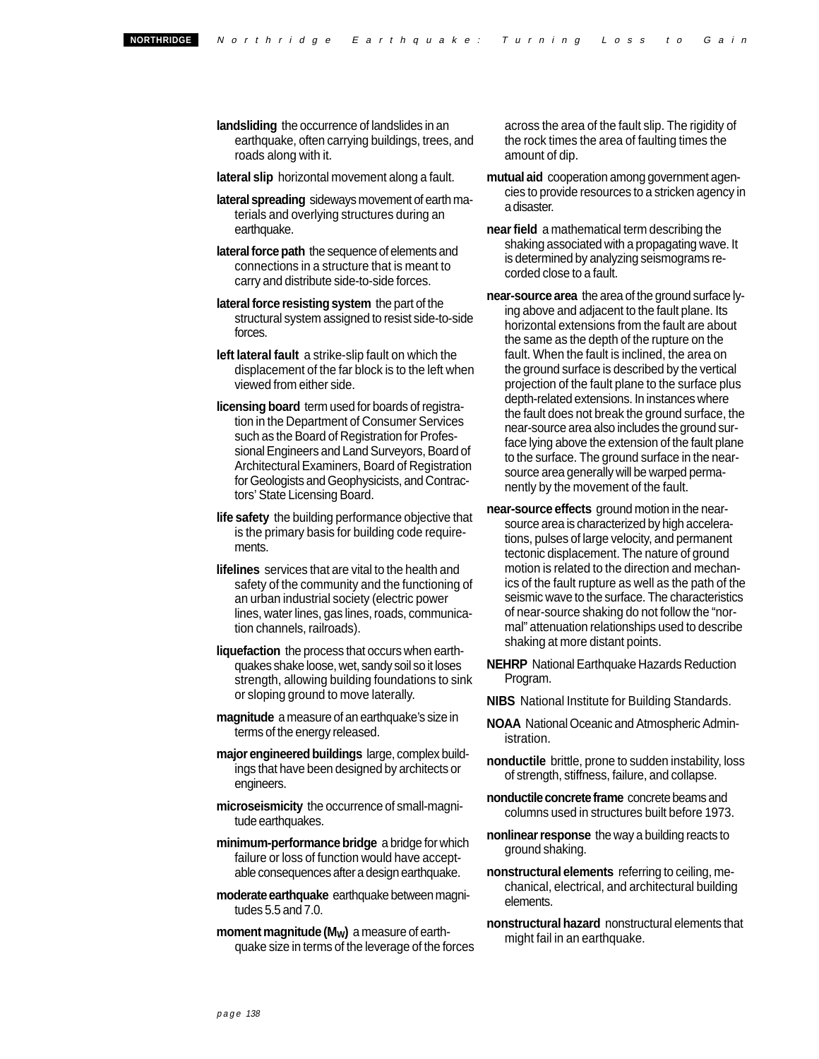- **landsliding** the occurrence of landslides in an earthquake, often carrying buildings, trees, and roads along with it.
- **lateral slip** horizontal movement along a fault.
- **lateral spreading** sideways movement of earth materials and overlying structures during an earthquake.
- **lateral force path** the sequence of elements and connections in a structure that is meant to carry and distribute side-to-side forces.
- **lateral force resisting system** the part of the structural system assigned to resist side-to-side forces.
- **left lateral fault** a strike-slip fault on which the displacement of the far block is to the left when viewed from either side.
- **licensing board** term used for boards of registration in the Department of Consumer Services such as the Board of Registration for Professional Engineers and Land Surveyors, Board of Architectural Examiners, Board of Registration for Geologists and Geophysicists, and Contractors' State Licensing Board.
- **life safety** the building performance objective that is the primary basis for building code requirements.
- **lifelines** services that are vital to the health and safety of the community and the functioning of an urban industrial society (electric power lines, water lines, gas lines, roads, communication channels, railroads).
- **liquefaction** the process that occurs when earthquakes shake loose, wet, sandy soil so it loses strength, allowing building foundations to sink or sloping ground to move laterally.
- **magnitude** a measure of an earthquake's size in terms of the energy released.
- **major engineered buildings** large, complex buildings that have been designed by architects or engineers.
- **microseismicity** the occurrence of small-magnitude earthquakes.
- **minimum-performance bridge** a bridge for which failure or loss of function would have acceptable consequences after a design earthquake.
- **moderate earthquake** earthquake between magnitudes 5.5 and 7.0.
- **moment magnitude (M<sub>W</sub>)** a measure of earthquake size in terms of the leverage of the forces

across the area of the fault slip. The rigidity of the rock times the area of faulting times the amount of dip.

- **mutual aid** cooperation among government agencies to provide resources to a stricken agency in a disaster.
- **near field** a mathematical term describing the shaking associated with a propagating wave. It is determined by analyzing seismograms recorded close to a fault.
- **near-source area** the area of the ground surface lying above and adjacent to the fault plane. Its horizontal extensions from the fault are about the same as the depth of the rupture on the fault. When the fault is inclined, the area on the ground surface is described by the vertical projection of the fault plane to the surface plus depth-related extensions. In instances where the fault does not break the ground surface, the near-source area also includes the ground surface lying above the extension of the fault plane to the surface. The ground surface in the nearsource area generally will be warped permanently by the movement of the fault.
- **near-source effects** ground motion in the nearsource area is characterized by high accelerations, pulses of large velocity, and permanent tectonic displacement. The nature of ground motion is related to the direction and mechanics of the fault rupture as well as the path of the seismic wave to the surface. The characteristics of near-source shaking do not follow the "normal" attenuation relationships used to describe shaking at more distant points.
- **NEHRP** National Earthquake Hazards Reduction Program.
- **NIBS** National Institute for Building Standards.
- **NOAA** National Oceanic and Atmospheric Administration.
- **nonductile** brittle, prone to sudden instability, loss of strength, stiffness, failure, and collapse.
- **nonductile concrete frame** concrete beams and columns used in structures built before 1973.
- **nonlinear response** the way a building reacts to ground shaking.
- **nonstructural elements** referring to ceiling, mechanical, electrical, and architectural building elements.
- **nonstructural hazard** nonstructural elements that might fail in an earthquake.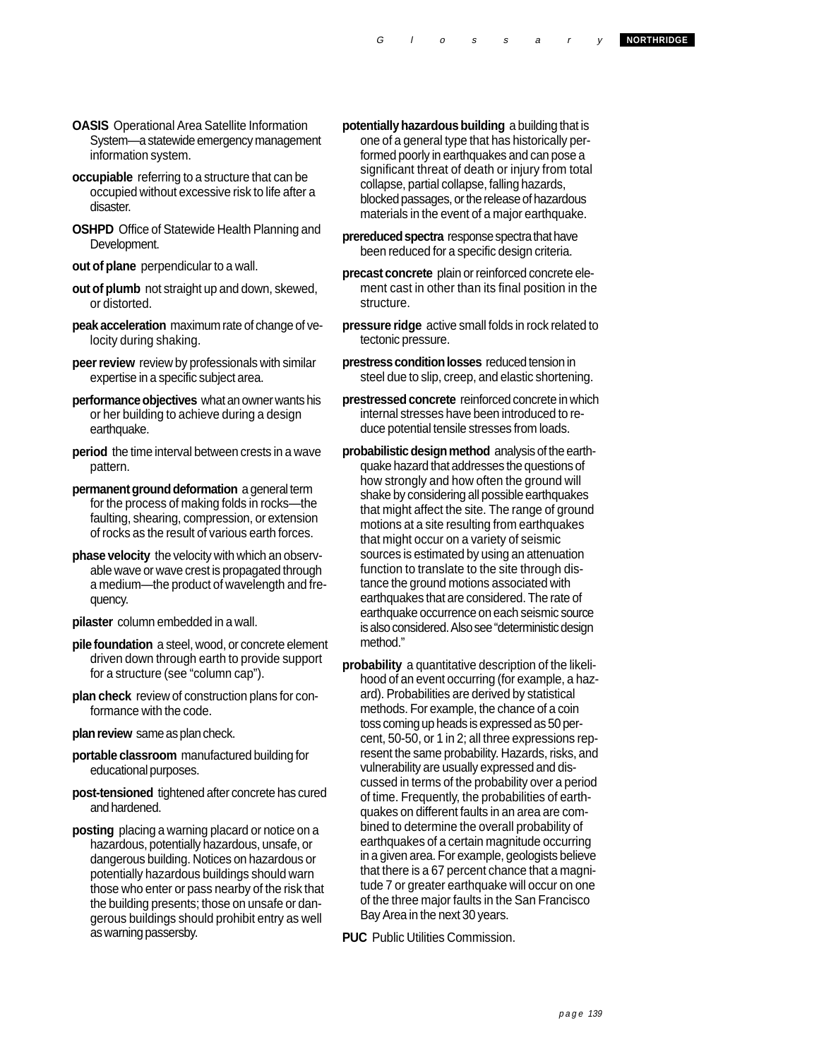- **OASIS** Operational Area Satellite Information System—a statewide emergency management information system.
- **occupiable** referring to a structure that can be occupied without excessive risk to life after a disaster.
- **OSHPD** Office of Statewide Health Planning and Development.
- **out of plane** perpendicular to a wall.
- **out of plumb** not straight up and down, skewed, or distorted.
- **peak acceleration** maximum rate of change of velocity during shaking.
- **peer review** review by professionals with similar expertise in a specific subject area.
- **performance objectives** what an owner wants his or her building to achieve during a design earthquake.
- **period** the time interval between crests in a wave pattern.
- **permanent ground deformation** a general term for the process of making folds in rocks—the faulting, shearing, compression, or extension of rocks as the result of various earth forces.
- **phase velocity** the velocity with which an observable wave or wave crest is propagated through a medium—the product of wavelength and frequency.
- **pilaster** column embedded in a wall.
- **pile foundation** a steel, wood, or concrete element driven down through earth to provide support for a structure (see "column cap").
- **plan check** review of construction plans for conformance with the code.
- **plan review** same as plan check.
- **portable classroom** manufactured building for educational purposes.
- **post-tensioned** tightened after concrete has cured and hardened.
- **posting** placing a warning placard or notice on a hazardous, potentially hazardous, unsafe, or dangerous building. Notices on hazardous or potentially hazardous buildings should warn those who enter or pass nearby of the risk that the building presents; those on unsafe or dangerous buildings should prohibit entry as well as warning passersby.
- **potentially hazardous building** a building that is one of a general type that has historically performed poorly in earthquakes and can pose a significant threat of death or injury from total collapse, partial collapse, falling hazards, blocked passages, or the release of hazardous materials in the event of a major earthquake.
- **prereduced spectra** response spectra that have been reduced for a specific design criteria.
- **precast concrete** plain or reinforced concrete element cast in other than its final position in the structure.
- **pressure ridge** active small folds in rock related to tectonic pressure.
- **prestress condition losses** reduced tension in steel due to slip, creep, and elastic shortening.
- **prestressed concrete** reinforced concrete in which internal stresses have been introduced to reduce potential tensile stresses from loads.
- **probabilistic design method** analysis of the earthquake hazard that addresses the questions of how strongly and how often the ground will shake by considering all possible earthquakes that might affect the site. The range of ground motions at a site resulting from earthquakes that might occur on a variety of seismic sources is estimated by using an attenuation function to translate to the site through distance the ground motions associated with earthquakes that are considered. The rate of earthquake occurrence on each seismic source is also considered. Also see "deterministic design method."
- **probability** a quantitative description of the likelihood of an event occurring (for example, a hazard). Probabilities are derived by statistical methods. For example, the chance of a coin toss coming up heads is expressed as 50 percent, 50-50, or 1 in 2; all three expressions represent the same probability. Hazards, risks, and vulnerability are usually expressed and discussed in terms of the probability over a period of time. Frequently, the probabilities of earthquakes on different faults in an area are combined to determine the overall probability of earthquakes of a certain magnitude occurring in a given area. For example, geologists believe that there is a 67 percent chance that a magnitude 7 or greater earthquake will occur on one of the three major faults in the San Francisco Bay Area in the next 30 years.

**PUC** Public Utilities Commission.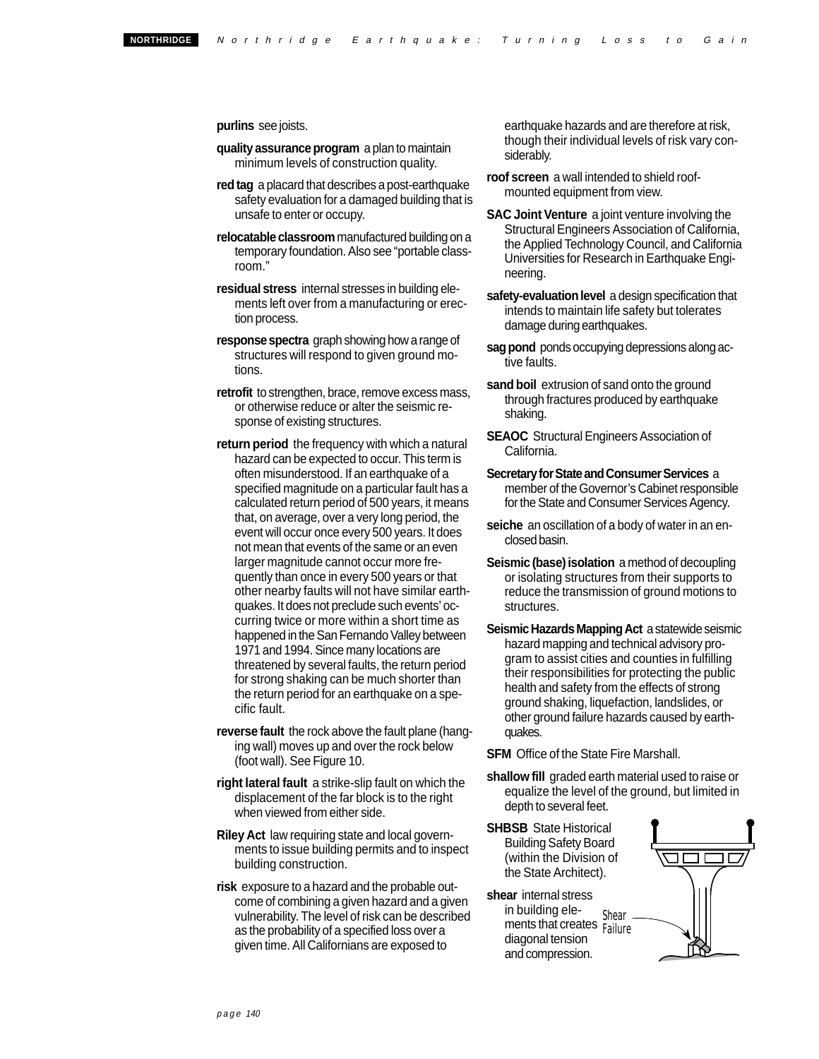## **purlins** see joists.

- **quality assurance program** a plan to maintain minimum levels of construction quality.
- **red tag** a placard that describes a post-earthquake safety evaluation for a damaged building that is unsafe to enter or occupy.
- **relocatable classroom** manufactured building on a temporary foundation. Also see "portable classroom."
- **residual stress** internal stresses in building elements left over from a manufacturing or erection process.
- **response spectra** graph showing how a range of structures will respond to given ground motions.
- **retrofit** to strengthen, brace, remove excess mass, or otherwise reduce or alter the seismic response of existing structures.
- **return period** the frequency with which a natural hazard can be expected to occur. This term is often misunderstood. If an earthquake of a specified magnitude on a particular fault has a calculated return period of 500 years, it means that, on average, over a very long period, the event will occur once every 500 years. It does not mean that events of the same or an even larger magnitude cannot occur more frequently than once in every 500 years or that other nearby faults will not have similar earthquakes. It does not preclude such events' occurring twice or more within a short time as happened in the San Fernando Valley between 1971 and 1994. Since many locations are threatened by several faults, the return period for strong shaking can be much shorter than the return period for an earthquake on a specific fault.
- **reverse fault** the rock above the fault plane (hanging wall) moves up and over the rock below (foot wall). See Figure 10.
- **right lateral fault** a strike-slip fault on which the displacement of the far block is to the right when viewed from either side.
- **Riley Act** law requiring state and local governments to issue building permits and to inspect building construction.
- **risk** exposure to a hazard and the probable outcome of combining a given hazard and a given vulnerability. The level of risk can be described as the probability of a specified loss over a given time. All Californians are exposed to

earthquake hazards and are therefore at risk, though their individual levels of risk vary considerably.

- **roof screen** a wall intended to shield roofmounted equipment from view.
- **SAC Joint Venture** a joint venture involving the Structural Engineers Association of California, the Applied Technology Council, and California Universities for Research in Earthquake Engineering.
- **safety-evaluation level** a design specification that intends to maintain life safety but tolerates damage during earthquakes.
- **sag pond** ponds occupying depressions along active faults.
- **sand boil** extrusion of sand onto the ground through fractures produced by earthquake shaking.
- **SEAOC** Structural Engineers Association of California.
- **Secretary for State and Consumer Services** a member of the Governor's Cabinet responsible for the State and Consumer Services Agency.
- **seiche** an oscillation of a body of water in an enclosed basin.
- **Seismic (base) isolation** a method of decoupling or isolating structures from their supports to reduce the transmission of ground motions to structures.
- **Seismic Hazards Mapping Act** a statewide seismic hazard mapping and technical advisory program to assist cities and counties in fulfilling their responsibilities for protecting the public health and safety from the effects of strong ground shaking, liquefaction, landslides, or other ground failure hazards caused by earthquakes.

**SFM** Office of the State Fire Marshall.

- **shallow fill** graded earth material used to raise or equalize the level of the ground, but limited in depth to several feet.
- **SHBSB** State Historical Building Safety Board (within the Division of the State Architect).
- **shear** internal stress in building ele-<br>ments that creates Failure diagonal tension and compression.

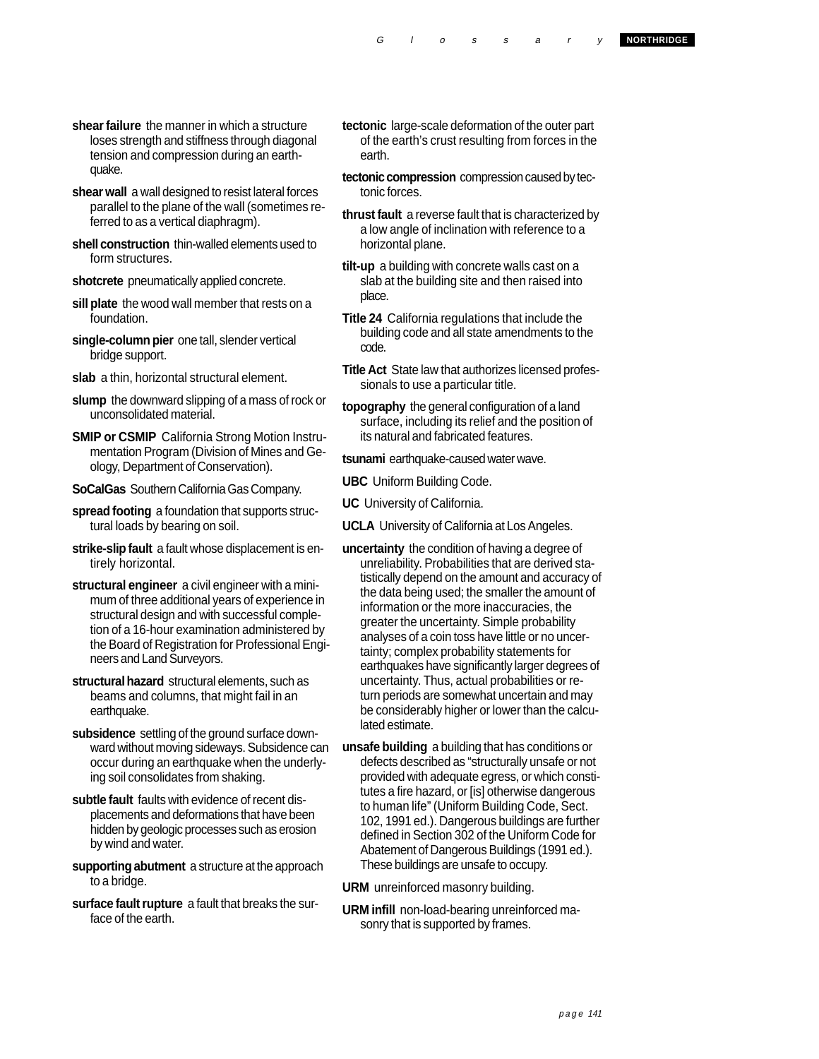- **shear failure** the manner in which a structure loses strength and stiffness through diagonal tension and compression during an earthquake.
- **shear wall** a wall designed to resist lateral forces parallel to the plane of the wall (sometimes referred to as a vertical diaphragm).
- **shell construction** thin-walled elements used to form structures.
- **shotcrete** pneumatically applied concrete.
- **sill plate** the wood wall member that rests on a foundation.
- **single-column pier** one tall, slender vertical bridge support.
- **slab** a thin, horizontal structural element.
- **slump** the downward slipping of a mass of rock or unconsolidated material.
- **SMIP or CSMIP** California Strong Motion Instrumentation Program (Division of Mines and Geology, Department of Conservation).
- **SoCalGas** Southern California Gas Company.
- **spread footing** a foundation that supports structural loads by bearing on soil.
- **strike-slip fault** a fault whose displacement is entirely horizontal.
- **structural engineer** a civil engineer with a minimum of three additional years of experience in structural design and with successful completion of a 16-hour examination administered by the Board of Registration for Professional Engineers and Land Surveyors.
- **structural hazard** structural elements, such as beams and columns, that might fail in an earthquake.
- **subsidence** settling of the ground surface downward without moving sideways. Subsidence can occur during an earthquake when the underlying soil consolidates from shaking.
- **subtle fault** faults with evidence of recent displacements and deformations that have been hidden by geologic processes such as erosion by wind and water.
- **supporting abutment** a structure at the approach to a bridge.
- **surface fault rupture** a fault that breaks the surface of the earth.
- **tectonic** large-scale deformation of the outer part of the earth's crust resulting from forces in the earth.
- **tectonic compression** compression caused by tectonic forces.
- **thrust fault** a reverse fault that is characterized by a low angle of inclination with reference to a horizontal plane.
- **tilt-up** a building with concrete walls cast on a slab at the building site and then raised into place.
- **Title 24** California regulations that include the building code and all state amendments to the code.
- **Title Act** State law that authorizes licensed professionals to use a particular title.
- **topography** the general configuration of a land surface, including its relief and the position of its natural and fabricated features.
- **tsunami** earthquake-caused water wave.
- **UBC** Uniform Building Code.
- **UC** University of California.
- **UCLA** University of California at Los Angeles.
- **uncertainty** the condition of having a degree of unreliability. Probabilities that are derived statistically depend on the amount and accuracy of the data being used; the smaller the amount of information or the more inaccuracies, the greater the uncertainty. Simple probability analyses of a coin toss have little or no uncertainty; complex probability statements for earthquakes have significantly larger degrees of uncertainty. Thus, actual probabilities or return periods are somewhat uncertain and may be considerably higher or lower than the calculated estimate.
- **unsafe building** a building that has conditions or defects described as "structurally unsafe or not provided with adequate egress, or which constitutes a fire hazard, or [is] otherwise dangerous to human life" (Uniform Building Code, Sect. 102, 1991 ed.). Dangerous buildings are further defined in Section 302 of the Uniform Code for Abatement of Dangerous Buildings (1991 ed.). These buildings are unsafe to occupy.
- **URM** unreinforced masonry building.
- **URM infill** non-load-bearing unreinforced masonry that is supported by frames.